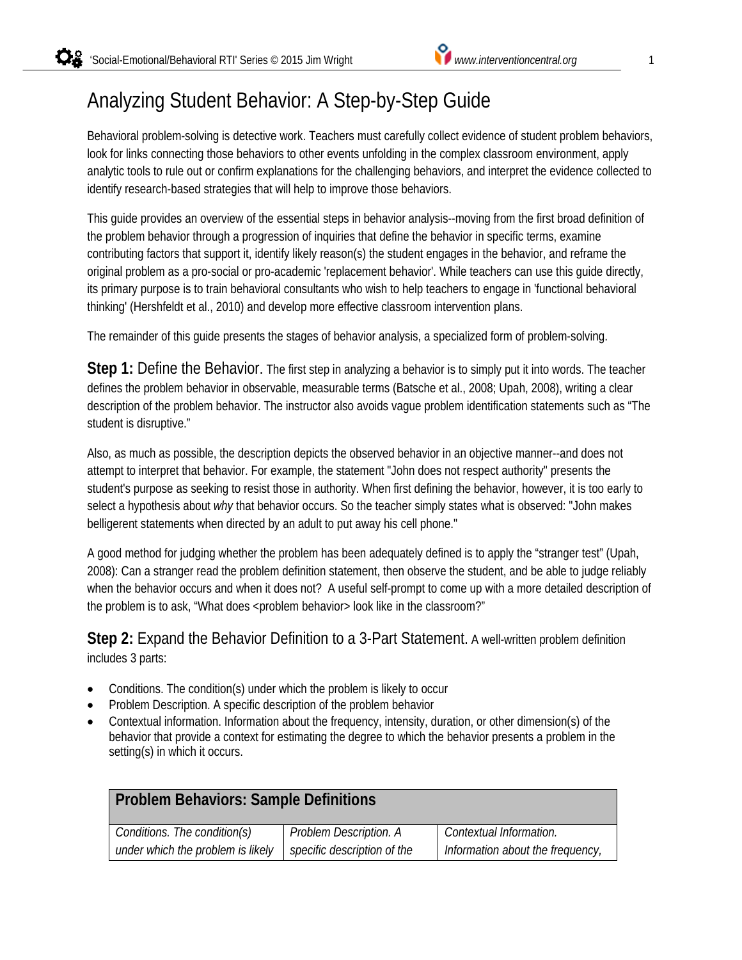# Analyzing Student Behavior: A Step-by-Step Guide

Behavioral problem-solving is detective work. Teachers must carefully collect evidence of student problem behaviors, look for links connecting those behaviors to other events unfolding in the complex classroom environment, apply analytic tools to rule out or confirm explanations for the challenging behaviors, and interpret the evidence collected to identify research-based strategies that will help to improve those behaviors.

This guide provides an overview of the essential steps in behavior analysis--moving from the first broad definition of the problem behavior through a progression of inquiries that define the behavior in specific terms, examine contributing factors that support it, identify likely reason(s) the student engages in the behavior, and reframe the original problem as a pro-social or pro-academic 'replacement behavior'. While teachers can use this guide directly, its primary purpose is to train behavioral consultants who wish to help teachers to engage in 'functional behavioral thinking' (Hershfeldt et al., 2010) and develop more effective classroom intervention plans.

The remainder of this guide presents the stages of behavior analysis, a specialized form of problem-solving.

**Step 1:** Define the Behavior. The first step in analyzing a behavior is to simply put it into words. The teacher defines the problem behavior in observable, measurable terms (Batsche et al., 2008; Upah, 2008), writing a clear description of the problem behavior. The instructor also avoids vague problem identification statements such as "The student is disruptive."

Also, as much as possible, the description depicts the observed behavior in an objective manner--and does not attempt to interpret that behavior. For example, the statement "John does not respect authority" presents the student's purpose as seeking to resist those in authority. When first defining the behavior, however, it is too early to select a hypothesis about *why* that behavior occurs. So the teacher simply states what is observed: "John makes belligerent statements when directed by an adult to put away his cell phone."

A good method for judging whether the problem has been adequately defined is to apply the "stranger test" (Upah, 2008): Can a stranger read the problem definition statement, then observe the student, and be able to judge reliably when the behavior occurs and when it does not? A useful self-prompt to come up with a more detailed description of the problem is to ask, "What does <problem behavior> look like in the classroom?"

### **Step 2:** Expand the Behavior Definition to a 3-Part Statement. A well-written problem definition includes 3 parts:

- Conditions. The condition(s) under which the problem is likely to occur
- Problem Description. A specific description of the problem behavior
- Contextual information. Information about the frequency, intensity, duration, or other dimension(s) of the behavior that provide a context for estimating the degree to which the behavior presents a problem in the setting(s) in which it occurs.

| <b>Problem Behaviors: Sample Definitions</b> |                             |                                  |
|----------------------------------------------|-----------------------------|----------------------------------|
| Conditions. The condition(s)                 | Problem Description. A      | Contextual Information.          |
| under which the problem is likely            | specific description of the | Information about the frequency, |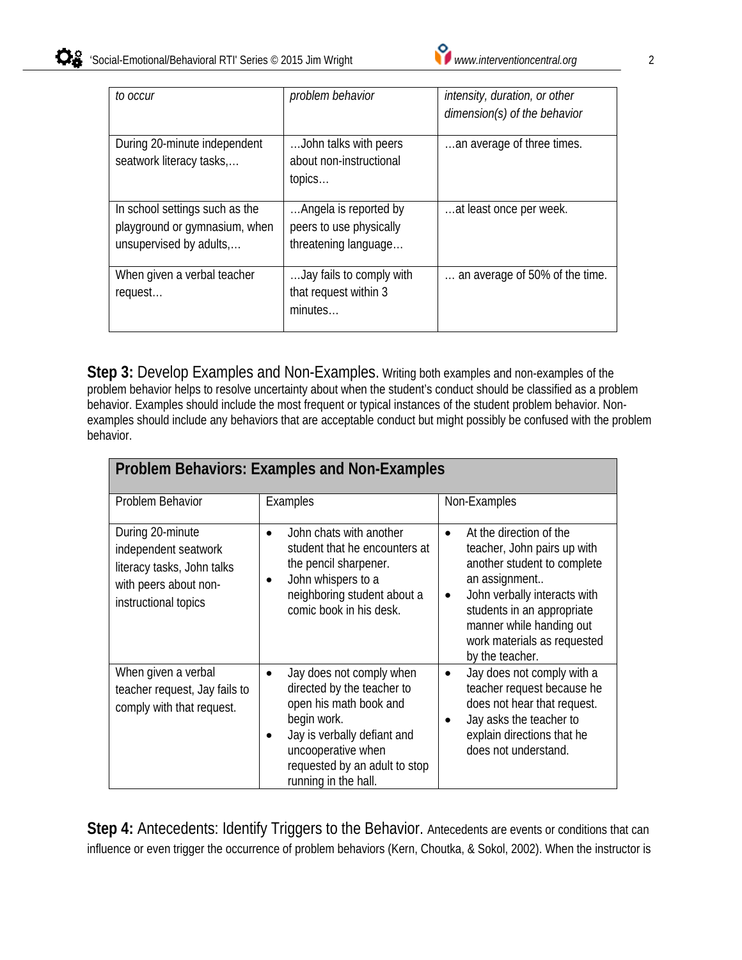| to occur                                                                                   | problem behavior                                                         | intensity, duration, or other<br>dimension(s) of the behavior |
|--------------------------------------------------------------------------------------------|--------------------------------------------------------------------------|---------------------------------------------------------------|
| During 20-minute independent<br>seatwork literacy tasks,                                   | John talks with peers<br>about non-instructional<br>topics               | an average of three times.                                    |
| In school settings such as the<br>playground or gymnasium, when<br>unsupervised by adults, | Angela is reported by<br>peers to use physically<br>threatening language | at least once per week.                                       |
| When given a verbal teacher<br>request                                                     | Jay fails to comply with<br>that request within 3<br>minutes             | an average of 50% of the time.                                |

**Step 3:** Develop Examples and Non-Examples. Writing both examples and non-examples of the problem behavior helps to resolve uncertainty about when the student's conduct should be classified as a problem behavior. Examples should include the most frequent or typical instances of the student problem behavior. Nonexamples should include any behaviors that are acceptable conduct but might possibly be confused with the problem behavior.

| <b>Problem Behaviors: Examples and Non-Examples</b>                                                                     |                                                                                                                                                                                                                                 |                                                                                                                                                                                                                                                                              |
|-------------------------------------------------------------------------------------------------------------------------|---------------------------------------------------------------------------------------------------------------------------------------------------------------------------------------------------------------------------------|------------------------------------------------------------------------------------------------------------------------------------------------------------------------------------------------------------------------------------------------------------------------------|
| Problem Behavior                                                                                                        | Examples                                                                                                                                                                                                                        | Non-Examples                                                                                                                                                                                                                                                                 |
| During 20-minute<br>independent seatwork<br>literacy tasks, John talks<br>with peers about non-<br>instructional topics | John chats with another<br>$\bullet$<br>student that he encounters at<br>the pencil sharpener.<br>John whispers to a<br>٠<br>neighboring student about a<br>comic book in his desk.                                             | At the direction of the<br>$\bullet$<br>teacher, John pairs up with<br>another student to complete<br>an assignment<br>John verbally interacts with<br>$\bullet$<br>students in an appropriate<br>manner while handing out<br>work materials as requested<br>by the teacher. |
| When given a verbal<br>teacher request, Jay fails to<br>comply with that request.                                       | Jay does not comply when<br>$\bullet$<br>directed by the teacher to<br>open his math book and<br>begin work.<br>Jay is verbally defiant and<br>٠<br>uncooperative when<br>requested by an adult to stop<br>running in the hall. | Jay does not comply with a<br>$\bullet$<br>teacher request because he<br>does not hear that request.<br>Jay asks the teacher to<br>explain directions that he<br>does not understand.                                                                                        |

Step 4: Antecedents: Identify Triggers to the Behavior. Antecedents are events or conditions that can influence or even trigger the occurrence of problem behaviors (Kern, Choutka, & Sokol, 2002). When the instructor is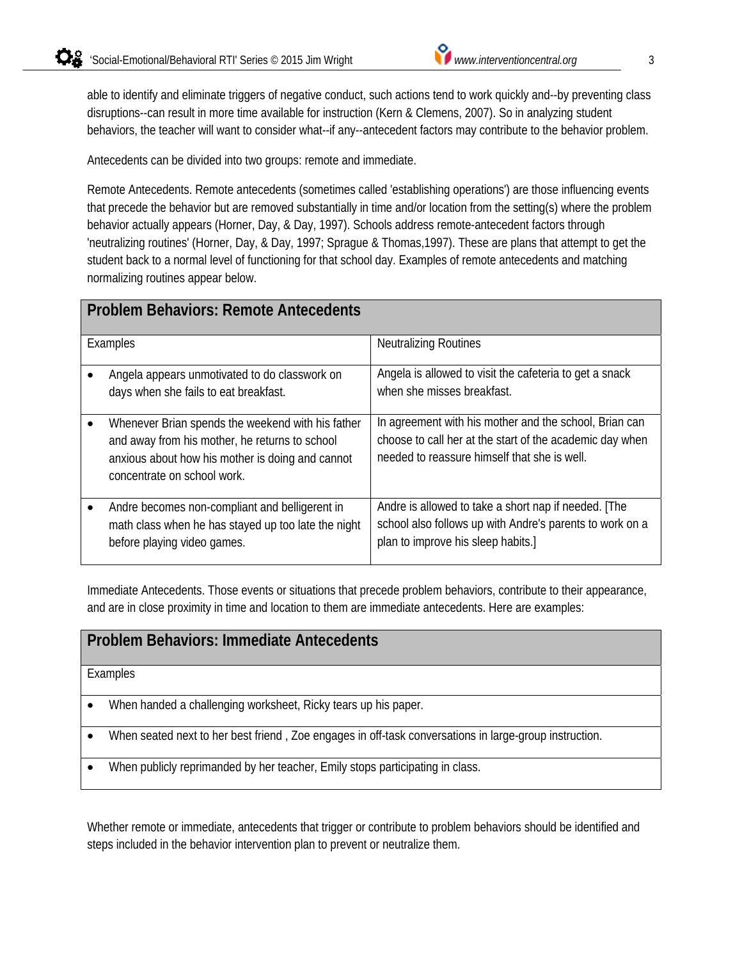able to identify and eliminate triggers of negative conduct, such actions tend to work quickly and--by preventing class disruptions--can result in more time available for instruction (Kern & Clemens, 2007). So in analyzing student behaviors, the teacher will want to consider what--if any--antecedent factors may contribute to the behavior problem.

Antecedents can be divided into two groups: remote and immediate.

Remote Antecedents. Remote antecedents (sometimes called 'establishing operations') are those influencing events that precede the behavior but are removed substantially in time and/or location from the setting(s) where the problem behavior actually appears (Horner, Day, & Day, 1997). Schools address remote-antecedent factors through 'neutralizing routines' (Horner, Day, & Day, 1997; Sprague & Thomas,1997). These are plans that attempt to get the student back to a normal level of functioning for that school day. Examples of remote antecedents and matching normalizing routines appear below.

| <b>Problem Behaviors: Remote Antecedents</b> |                                                                                                                                                                                        |                                                                                                                                                                    |
|----------------------------------------------|----------------------------------------------------------------------------------------------------------------------------------------------------------------------------------------|--------------------------------------------------------------------------------------------------------------------------------------------------------------------|
|                                              | Examples                                                                                                                                                                               | <b>Neutralizing Routines</b>                                                                                                                                       |
|                                              | Angela appears unmotivated to do classwork on<br>days when she fails to eat breakfast.                                                                                                 | Angela is allowed to visit the cafeteria to get a snack<br>when she misses breakfast.                                                                              |
|                                              | Whenever Brian spends the weekend with his father<br>and away from his mother, he returns to school<br>anxious about how his mother is doing and cannot<br>concentrate on school work. | In agreement with his mother and the school, Brian can<br>choose to call her at the start of the academic day when<br>needed to reassure himself that she is well. |
|                                              | Andre becomes non-compliant and belligerent in<br>math class when he has stayed up too late the night<br>before playing video games.                                                   | Andre is allowed to take a short nap if needed. [The<br>school also follows up with Andre's parents to work on a<br>plan to improve his sleep habits.]             |

Immediate Antecedents. Those events or situations that precede problem behaviors, contribute to their appearance, and are in close proximity in time and location to them are immediate antecedents. Here are examples:

#### **Problem Behaviors: Immediate Antecedents**

Examples

- When handed a challenging worksheet, Ricky tears up his paper.
- When seated next to her best friend , Zoe engages in off-task conversations in large-group instruction.
- When publicly reprimanded by her teacher, Emily stops participating in class.

Whether remote or immediate, antecedents that trigger or contribute to problem behaviors should be identified and steps included in the behavior intervention plan to prevent or neutralize them.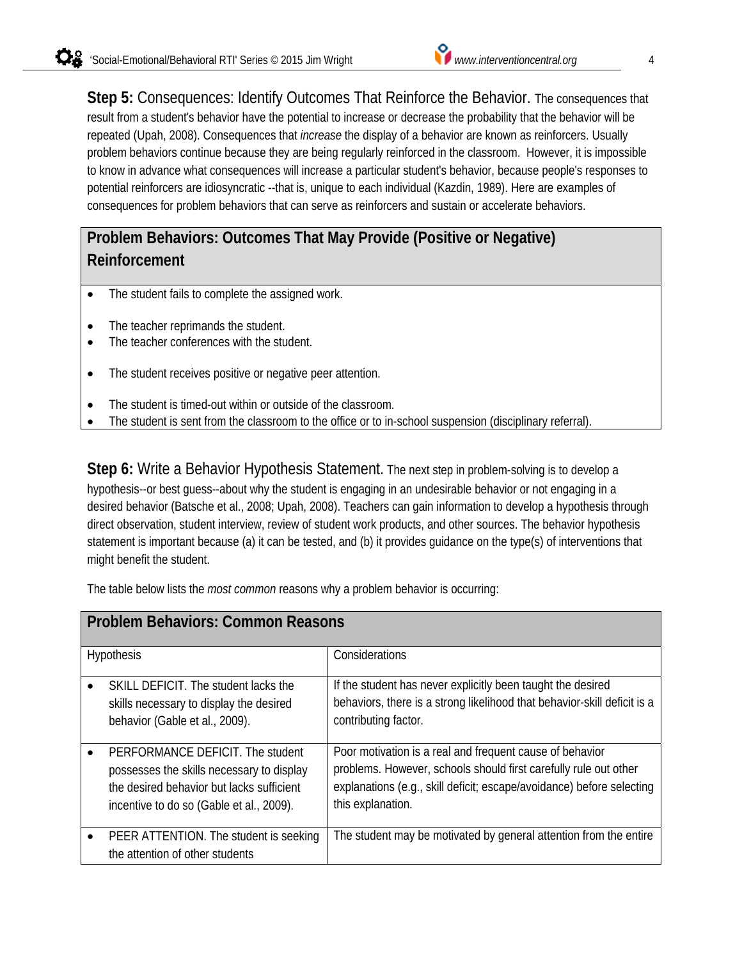**Step 5:** Consequences: Identify Outcomes That Reinforce the Behavior. The consequences that result from a student's behavior have the potential to increase or decrease the probability that the behavior will be repeated (Upah, 2008). Consequences that *increase* the display of a behavior are known as reinforcers. Usually problem behaviors continue because they are being regularly reinforced in the classroom. However, it is impossible to know in advance what consequences will increase a particular student's behavior, because people's responses to potential reinforcers are idiosyncratic --that is, unique to each individual (Kazdin, 1989). Here are examples of consequences for problem behaviors that can serve as reinforcers and sustain or accelerate behaviors.

## **Problem Behaviors: Outcomes That May Provide (Positive or Negative) Reinforcement**

- The student fails to complete the assigned work.
- The teacher reprimands the student.
- The teacher conferences with the student.
- The student receives positive or negative peer attention.
- The student is timed-out within or outside of the classroom.
- The student is sent from the classroom to the office or to in-school suspension (disciplinary referral).

**Step 6:** Write a Behavior Hypothesis Statement. The next step in problem-solving is to develop a hypothesis--or best guess--about why the student is engaging in an undesirable behavior or not engaging in a desired behavior (Batsche et al., 2008; Upah, 2008). Teachers can gain information to develop a hypothesis through direct observation, student interview, review of student work products, and other sources. The behavior hypothesis statement is important because (a) it can be tested, and (b) it provides guidance on the type(s) of interventions that might benefit the student.

The table below lists the *most common* reasons why a problem behavior is occurring:

| <b>Problem Behaviors: Common Reasons</b> |                                                                                                                                                                        |                                                                                                                                                                                                                            |
|------------------------------------------|------------------------------------------------------------------------------------------------------------------------------------------------------------------------|----------------------------------------------------------------------------------------------------------------------------------------------------------------------------------------------------------------------------|
|                                          | Hypothesis                                                                                                                                                             | Considerations                                                                                                                                                                                                             |
|                                          | SKILL DEFICIT. The student lacks the<br>skills necessary to display the desired<br>behavior (Gable et al., 2009).                                                      | If the student has never explicitly been taught the desired<br>behaviors, there is a strong likelihood that behavior-skill deficit is a<br>contributing factor.                                                            |
|                                          | PERFORMANCE DEFICIT. The student<br>possesses the skills necessary to display<br>the desired behavior but lacks sufficient<br>incentive to do so (Gable et al., 2009). | Poor motivation is a real and frequent cause of behavior<br>problems. However, schools should first carefully rule out other<br>explanations (e.g., skill deficit; escape/avoidance) before selecting<br>this explanation. |
|                                          | PEER ATTENTION. The student is seeking<br>the attention of other students                                                                                              | The student may be motivated by general attention from the entire                                                                                                                                                          |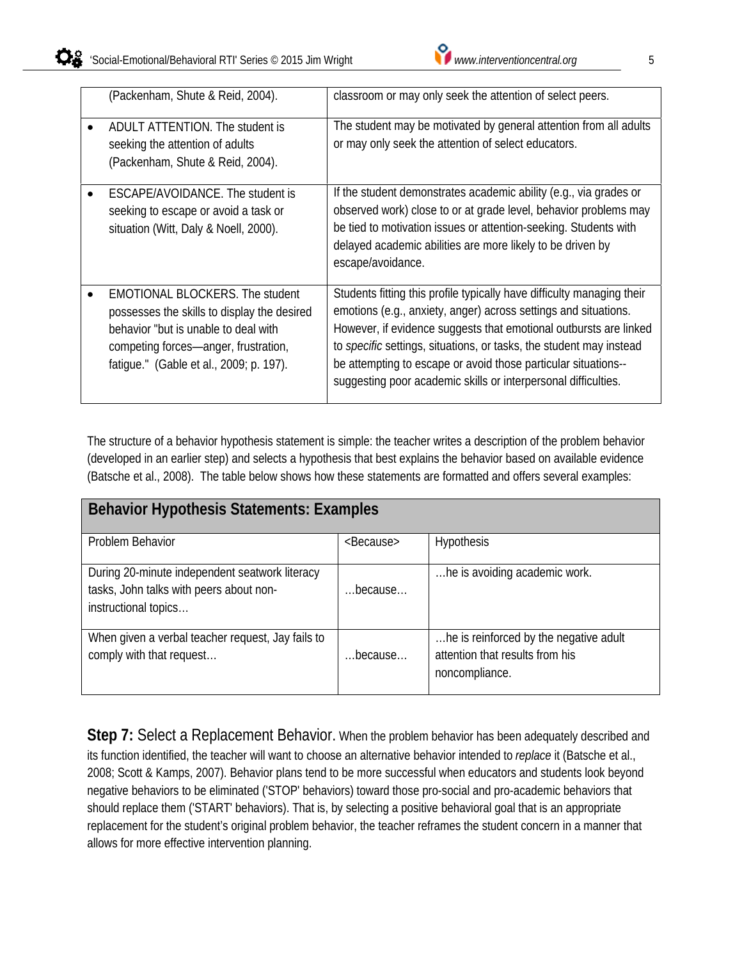| (Packenham, Shute & Reid, 2004).                                                                                                                                                                                 | classroom or may only seek the attention of select peers.                                                                                                                                                                                                                                                                                                                                                                        |
|------------------------------------------------------------------------------------------------------------------------------------------------------------------------------------------------------------------|----------------------------------------------------------------------------------------------------------------------------------------------------------------------------------------------------------------------------------------------------------------------------------------------------------------------------------------------------------------------------------------------------------------------------------|
| ADULT ATTENTION. The student is<br>seeking the attention of adults<br>(Packenham, Shute & Reid, 2004).                                                                                                           | The student may be motivated by general attention from all adults<br>or may only seek the attention of select educators.                                                                                                                                                                                                                                                                                                         |
| ESCAPE/AVOIDANCE. The student is<br>seeking to escape or avoid a task or<br>situation (Witt, Daly & Noell, 2000).                                                                                                | If the student demonstrates academic ability (e.g., via grades or<br>observed work) close to or at grade level, behavior problems may<br>be tied to motivation issues or attention-seeking. Students with<br>delayed academic abilities are more likely to be driven by<br>escape/avoidance.                                                                                                                                     |
| <b>EMOTIONAL BLOCKERS. The student</b><br>possesses the skills to display the desired<br>behavior "but is unable to deal with<br>competing forces—anger, frustration,<br>fatique." (Gable et al., 2009; p. 197). | Students fitting this profile typically have difficulty managing their<br>emotions (e.g., anxiety, anger) across settings and situations.<br>However, if evidence suggests that emotional outbursts are linked<br>to <i>specific</i> settings, situations, or tasks, the student may instead<br>be attempting to escape or avoid those particular situations--<br>suggesting poor academic skills or interpersonal difficulties. |

The structure of a behavior hypothesis statement is simple: the teacher writes a description of the problem behavior (developed in an earlier step) and selects a hypothesis that best explains the behavior based on available evidence (Batsche et al., 2008). The table below shows how these statements are formatted and offers several examples:

| <b>Behavior Hypothesis Statements: Examples</b>                                                                   |                     |                                                                                             |
|-------------------------------------------------------------------------------------------------------------------|---------------------|---------------------------------------------------------------------------------------------|
| Problem Behavior                                                                                                  | <because></because> | <b>Hypothesis</b>                                                                           |
| During 20-minute independent seatwork literacy<br>tasks, John talks with peers about non-<br>instructional topics | because             | he is avoiding academic work.                                                               |
| When given a verbal teacher request, Jay fails to<br>comply with that request                                     | because             | he is reinforced by the negative adult<br>attention that results from his<br>noncompliance. |

Step 7: Select a Replacement Behavior. When the problem behavior has been adequately described and its function identified, the teacher will want to choose an alternative behavior intended to *replace* it (Batsche et al., 2008; Scott & Kamps, 2007). Behavior plans tend to be more successful when educators and students look beyond negative behaviors to be eliminated ('STOP' behaviors) toward those pro-social and pro-academic behaviors that should replace them ('START' behaviors). That is, by selecting a positive behavioral goal that is an appropriate replacement for the student's original problem behavior, the teacher reframes the student concern in a manner that allows for more effective intervention planning.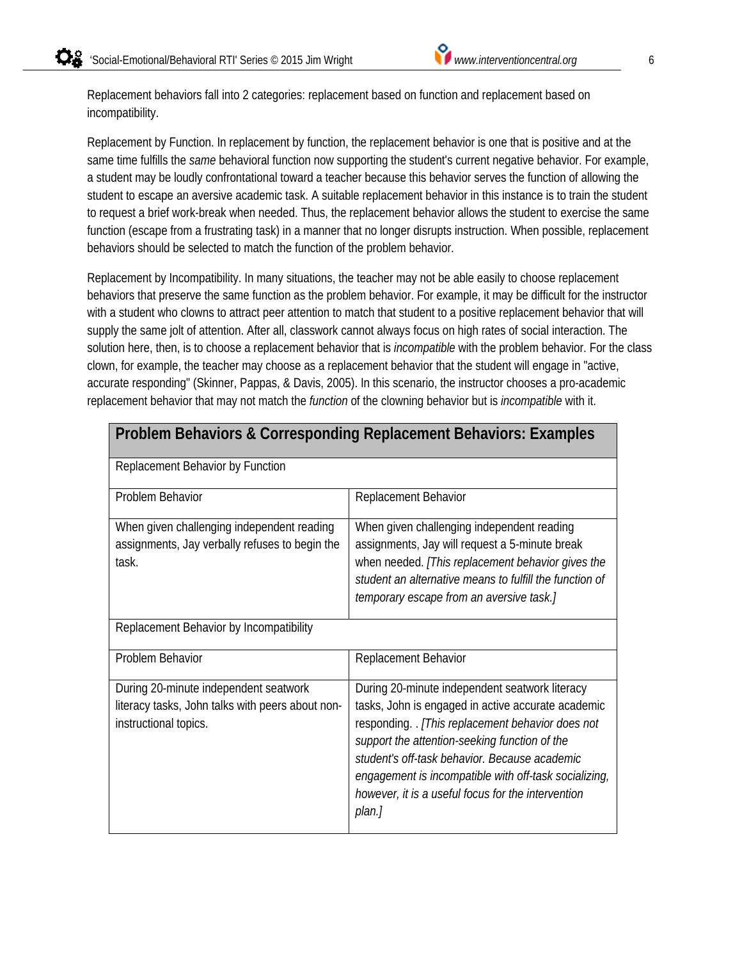Replacement behaviors fall into 2 categories: replacement based on function and replacement based on incompatibility.

Replacement by Function. In replacement by function, the replacement behavior is one that is positive and at the same time fulfills the *same* behavioral function now supporting the student's current negative behavior. For example, a student may be loudly confrontational toward a teacher because this behavior serves the function of allowing the student to escape an aversive academic task. A suitable replacement behavior in this instance is to train the student to request a brief work-break when needed. Thus, the replacement behavior allows the student to exercise the same function (escape from a frustrating task) in a manner that no longer disrupts instruction. When possible, replacement behaviors should be selected to match the function of the problem behavior.

Replacement by Incompatibility. In many situations, the teacher may not be able easily to choose replacement behaviors that preserve the same function as the problem behavior. For example, it may be difficult for the instructor with a student who clowns to attract peer attention to match that student to a positive replacement behavior that will supply the same jolt of attention. After all, classwork cannot always focus on high rates of social interaction. The solution here, then, is to choose a replacement behavior that is *incompatible* with the problem behavior. For the class clown, for example, the teacher may choose as a replacement behavior that the student will engage in "active, accurate responding" (Skinner, Pappas, & Davis, 2005). In this scenario, the instructor chooses a pro-academic replacement behavior that may not match the *function* of the clowning behavior but is *incompatible* with it.

| <b>Problem Behaviors &amp; Corresponding Replacement Behaviors: Examples</b>                                       |                                                                                                                                                                                                                                                                                                                                                                                    |  |
|--------------------------------------------------------------------------------------------------------------------|------------------------------------------------------------------------------------------------------------------------------------------------------------------------------------------------------------------------------------------------------------------------------------------------------------------------------------------------------------------------------------|--|
| Replacement Behavior by Function                                                                                   |                                                                                                                                                                                                                                                                                                                                                                                    |  |
| Problem Behavior                                                                                                   | Replacement Behavior                                                                                                                                                                                                                                                                                                                                                               |  |
| When given challenging independent reading<br>assignments, Jay verbally refuses to begin the<br>task.              | When given challenging independent reading<br>assignments, Jay will request a 5-minute break<br>when needed. [This replacement behavior gives the<br>student an alternative means to fulfill the function of<br>temporary escape from an aversive task.]                                                                                                                           |  |
| Replacement Behavior by Incompatibility                                                                            |                                                                                                                                                                                                                                                                                                                                                                                    |  |
| Problem Behavior                                                                                                   | Replacement Behavior                                                                                                                                                                                                                                                                                                                                                               |  |
| During 20-minute independent seatwork<br>literacy tasks, John talks with peers about non-<br>instructional topics. | During 20-minute independent seatwork literacy<br>tasks, John is engaged in active accurate academic<br>responding. [This replacement behavior does not<br>support the attention-seeking function of the<br>student's off-task behavior. Because academic<br>engagement is incompatible with off-task socializing,<br>however, it is a useful focus for the intervention<br>plan.] |  |

### **Problem Behaviors & Corresponding Replacement Behaviors: Examples**